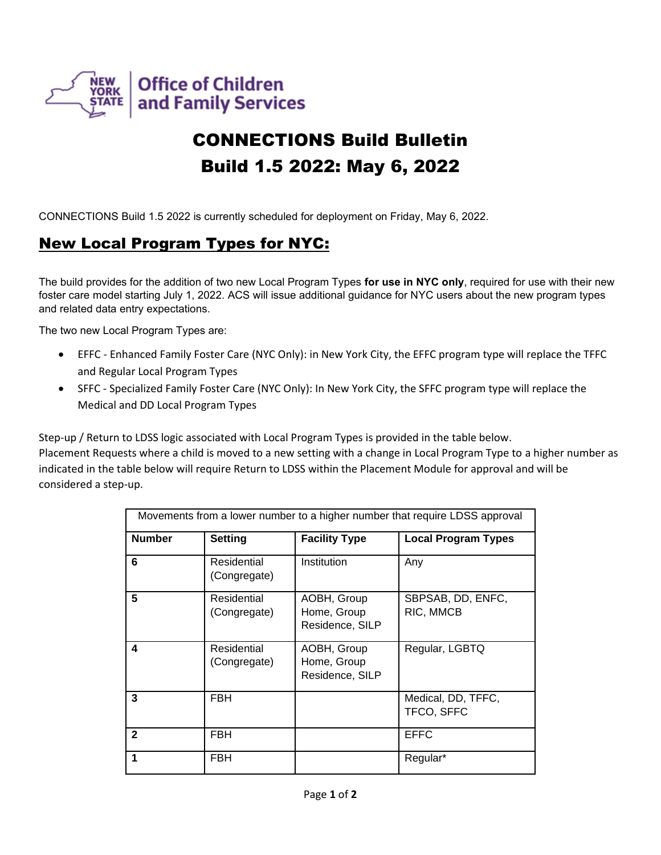

# CONNECTIONS Build Bulletin Build 1.5 2022: May 6, 2022

CONNECTIONS Build 1.5 2022 is currently scheduled for deployment on Friday, May 6, 2022.

### New Local Program Types for NYC:

The build provides for the addition of two new Local Program Types **for use in NYC only**, required for use with their new foster care model starting July 1, 2022. ACS will issue additional guidance for NYC users about the new program types and related data entry expectations.

The two new Local Program Types are:

- EFFC Enhanced Family Foster Care (NYC Only): in New York City, the EFFC program type will replace the TFFC and Regular Local Program Types
- SFFC Specialized Family Foster Care (NYC Only): In New York City, the SFFC program type will replace the Medical and DD Local Program Types

Step-up / Return to LDSS logic associated with Local Program Types is provided in the table below.

Placement Requests where a child is moved to a new setting with a change in Local Program Type to a higher number as indicated in the table below will require Return to LDSS within the Placement Module for approval and will be considered a step-up.

| Movements from a lower number to a higher number that require LDSS approval |                             |                                               |                                  |
|-----------------------------------------------------------------------------|-----------------------------|-----------------------------------------------|----------------------------------|
| <b>Number</b>                                                               | <b>Setting</b>              | <b>Facility Type</b>                          | <b>Local Program Types</b>       |
| 6                                                                           | Residential<br>(Congregate) | Institution                                   | Any                              |
| 5                                                                           | Residential<br>(Congregate) | AOBH, Group<br>Home, Group<br>Residence, SILP | SBPSAB, DD, ENFC,<br>RIC, MMCB   |
| 4                                                                           | Residential<br>(Congregate) | AOBH, Group<br>Home, Group<br>Residence, SILP | Regular, LGBTQ                   |
| 3                                                                           | FBH                         |                                               | Medical, DD, TFFC,<br>TFCO, SFFC |
| $\mathbf{2}$                                                                | <b>FBH</b>                  |                                               | <b>EFFC</b>                      |
| 1                                                                           | FBH                         |                                               | Regular*                         |